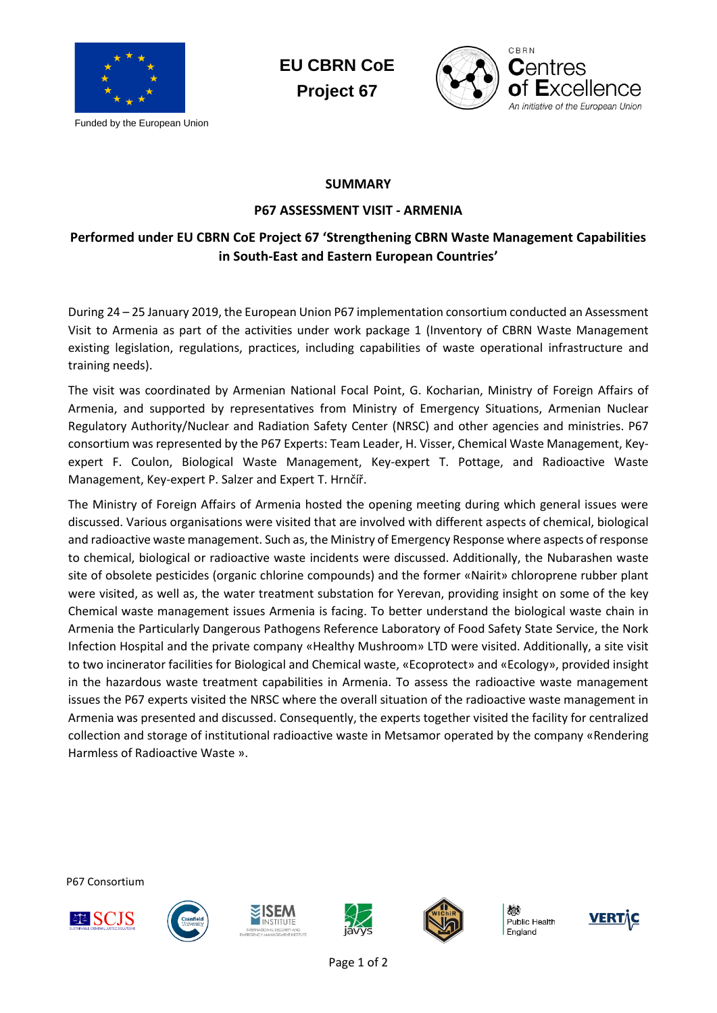

Funded by the European Union





## **SUMMARY**

## **P67 ASSESSMENT VISIT - ARMENIA**

## **Performed under EU CBRN CoE Project 67 'Strengthening CBRN Waste Management Capabilities in South-East and Eastern European Countries'**

During 24 – 25 January 2019, the European Union P67 implementation consortium conducted an Assessment Visit to Armenia as part of the activities under work package 1 (Inventory of CBRN Waste Management existing legislation, regulations, practices, including capabilities of waste operational infrastructure and training needs).

The visit was coordinated by Armenian National Focal Point, G. Kocharian, Ministry of Foreign Affairs of Armenia, and supported by representatives from Ministry of Emergency Situations, Armenian Nuclear Regulatory Authority/Nuclear and Radiation Safety Center (NRSC) and other agencies and ministries. P67 consortium was represented by the P67 Experts: Team Leader, H. Visser, Chemical Waste Management, Keyexpert F. Coulon, Biological Waste Management, Key-expert T. Pottage, and Radioactive Waste Management, Key-expert P. Salzer and Expert T. Hrnčíř.

The Ministry of Foreign Affairs of Armenia hosted the opening meeting during which general issues were discussed. Various organisations were visited that are involved with different aspects of chemical, biological and radioactive waste management. Such as, the Ministry of Emergency Response where aspects of response to chemical, biological or radioactive waste incidents were discussed. Additionally, the Nubarashen waste site of obsolete pesticides (organic chlorine compounds) and the former «Nairit» chloroprene rubber plant were visited, as well as, the water treatment substation for Yerevan, providing insight on some of the key Chemical waste management issues Armenia is facing. To better understand the biological waste chain in Armenia the Particularly Dangerous Pathogens Reference Laboratory of Food Safety State Service, the Nork Infection Hospital and the private company «Healthy Mushroom» LTD were visited. Additionally, a site visit to two incinerator facilities for Biological and Chemical waste, «Ecoprotect» and «Ecology», provided insight in the hazardous waste treatment capabilities in Armenia. To assess the radioactive waste management issues the P67 experts visited the NRSC where the overall situation of the radioactive waste management in Armenia was presented and discussed. Consequently, the experts together visited the facility for centralized collection and storage of institutional radioactive waste in Metsamor operated by the company «Rendering Harmless of Radioactive Waste ».

P67 Consortium











Public Health England